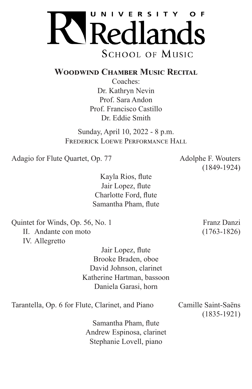

## **Woodwind Chamber Music Recital**

Coaches: Dr. Kathryn Nevin Prof. Sara Andon Prof. Francisco Castillo Dr. Eddie Smith

Sunday, April 10, 2022 - 8 p.m. FREDERICK LOEWE PERFORMANCE HALL

Adagio for Flute Quartet, Op. 77 Adolphe F. Wouters

(1849-1924)

Kayla Rios, flute Jair Lopez, flute Charlotte Ford, flute Samantha Pham, flute

Quintet for Winds, Op. 56, No. 1 Franz Danzi II. Andante con moto (1763-1826) IV. Allegretto

> Jair Lopez, flute Brooke Braden, oboe David Johnson, clarinet Katherine Hartman, bassoon Daniela Garasi, horn

Tarantella, Op. 6 for Flute, Clarinet, and Piano Camille Saint-Saëns

(1835-1921)

Samantha Pham, flute Andrew Espinosa, clarinet Stephanie Lovell, piano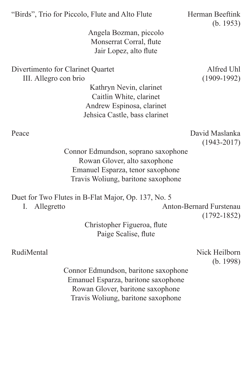| "Birds", Trio for Piccolo, Flute and Alto Flute<br>Angela Bozman, piccolo<br>Monserrat Corral, flute<br>Jair Lopez, alto flute                                                 | Herman Beeftink<br>(b. 1953)      |
|--------------------------------------------------------------------------------------------------------------------------------------------------------------------------------|-----------------------------------|
| Divertimento for Clarinet Quartet<br>III. Allegro con brio<br>Kathryn Nevin, clarinet<br>Caitlin White, clarinet<br>Andrew Espinosa, clarinet<br>Jehsica Castle, bass clarinet | Alfred Uhl<br>$(1909-1992)$       |
| Peace<br>Connor Edmundson, soprano saxophone<br>Rowan Glover, alto saxophone<br>Emanuel Esparza, tenor saxophone<br>Travis Woliung, baritone saxophone                         | David Maslanka<br>$(1943 - 2017)$ |
| Duet for Two Flutes in B-Flat Major, Op. 137, No. 5<br>Allegretto<br>I.                                                                                                        | <b>Anton-Bernard Furstenau</b>    |

Christopher Figueroa, flute Paige Scalise, flute

RudiMental Nick Heilborn (b. 1998)

(1792-1852)

Connor Edmundson, baritone saxophone Emanuel Esparza, baritone saxophone Rowan Glover, baritone saxophone Travis Woliung, baritone saxophone